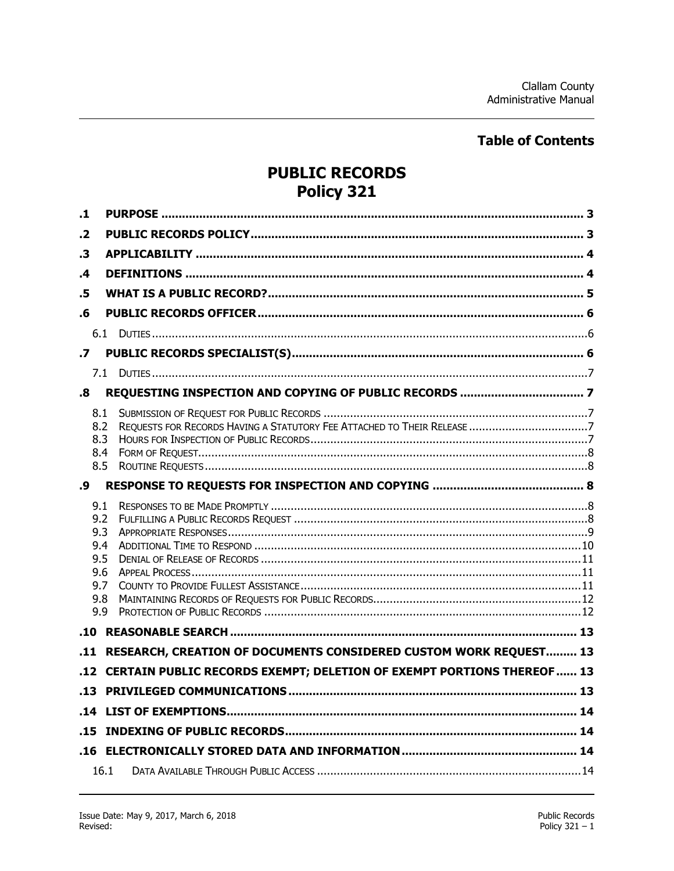### **Table of Contents**

# **PUBLIC RECORDS** Policy 321

| $\cdot$ 1                                            |                                                                            |
|------------------------------------------------------|----------------------------------------------------------------------------|
| $\cdot$                                              |                                                                            |
| .3                                                   |                                                                            |
| $\mathbf{.4}$                                        |                                                                            |
| .5                                                   |                                                                            |
| .6                                                   |                                                                            |
|                                                      |                                                                            |
| $\cdot$                                              |                                                                            |
|                                                      |                                                                            |
| .8                                                   |                                                                            |
| 8.1<br>8.2<br>8.3<br>8.5                             | 8.4                                                                        |
| .9                                                   |                                                                            |
| 9.1<br>9.2<br>9.4<br>9.5<br>9.6<br>9.7<br>9.8<br>9.9 | 9.3                                                                        |
|                                                      |                                                                            |
|                                                      | .11 RESEARCH, CREATION OF DOCUMENTS CONSIDERED CUSTOM WORK REQUEST 13      |
|                                                      | .12 CERTAIN PUBLIC RECORDS EXEMPT; DELETION OF EXEMPT PORTIONS THEREOF  13 |
|                                                      |                                                                            |
|                                                      |                                                                            |
|                                                      |                                                                            |
|                                                      |                                                                            |
|                                                      | 16.1                                                                       |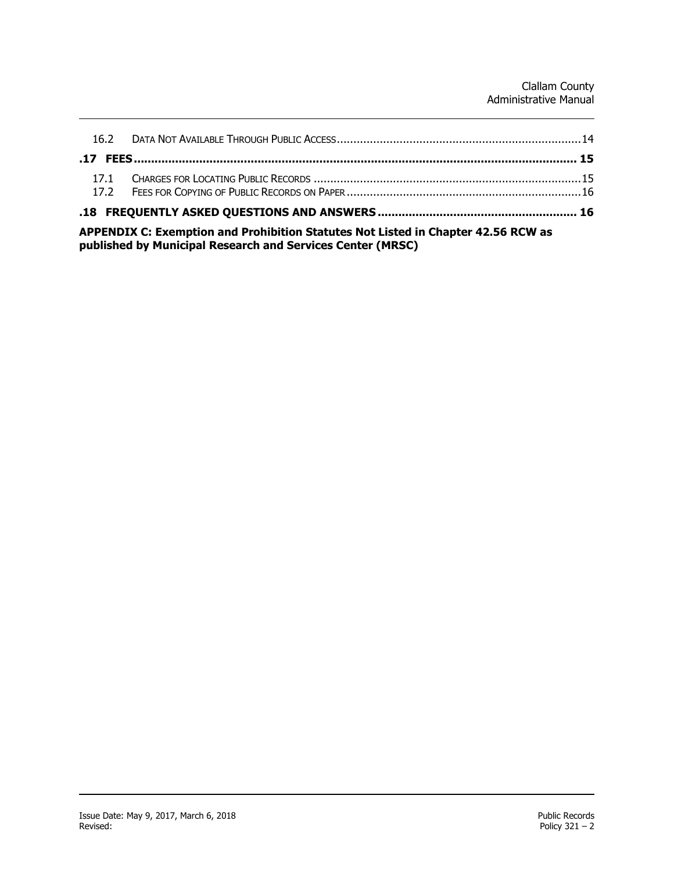| $\mathbf{1} \mathbf{D} \mathbf{D} \mathbf{F} \mathbf{D} \mathbf{D} \mathbf{F} \mathbf{D} \mathbf{F} \mathbf{F} \mathbf{F} \mathbf{F} \mathbf{F} \mathbf{F} \mathbf{F} \mathbf{F} \mathbf{F} \mathbf{F} \mathbf{F} \mathbf{F} \mathbf{F} \mathbf{F} \mathbf{F} \mathbf{F} \mathbf{F} \mathbf{F} \mathbf{F} \mathbf{F} \mathbf{F} \mathbf{F} \mathbf{F} \mathbf{F} \mathbf{F} \mathbf{F} \mathbf{F} \mathbf{F} \mathbf{$ |  |
|------------------------------------------------------------------------------------------------------------------------------------------------------------------------------------------------------------------------------------------------------------------------------------------------------------------------------------------------------------------------------------------------------------------------|--|

**APPENDIX C: Exemption and Prohibition Statutes Not Listed in Chapter 42.56 RCW as published by Municipal Research and Services Center (MRSC)**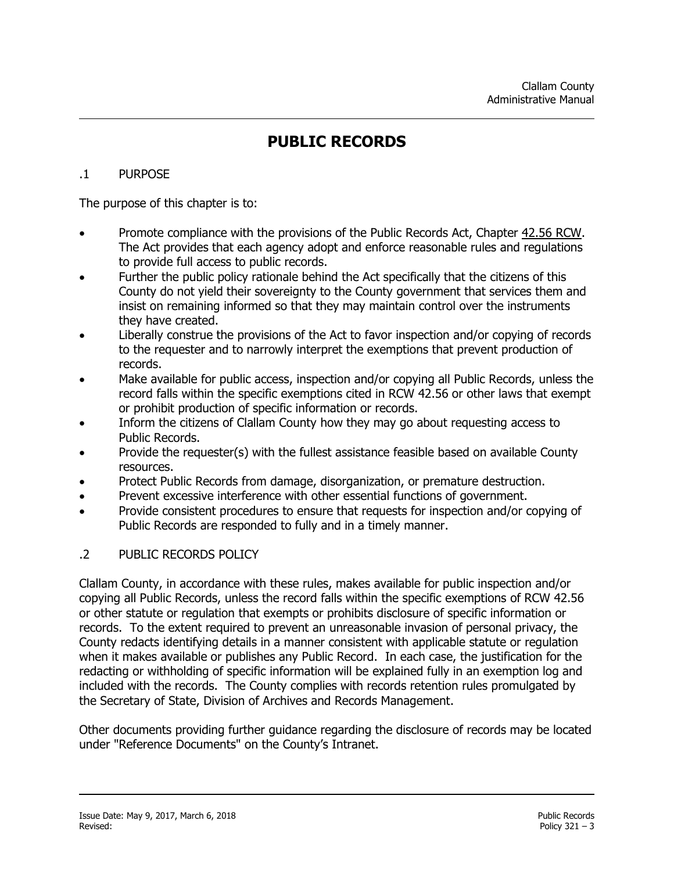# **PUBLIC RECORDS**

#### .1 PURPOSE

The purpose of this chapter is to:

- Promote compliance with the provisions of the Public Records Act, Chapter [42.56](http://apps.leg.wa.gov/rcw/) RCW. The Act provides that each agency adopt and enforce reasonable rules and regulations to provide full access to public records.
- Further the public policy rationale behind the Act specifically that the citizens of this County do not yield their sovereignty to the County government that services them and insist on remaining informed so that they may maintain control over the instruments they have created.
- Liberally construe the provisions of the Act to favor inspection and/or copying of records to the requester and to narrowly interpret the exemptions that prevent production of records.
- Make available for public access, inspection and/or copying all Public Records, unless the record falls within the specific exemptions cited in RCW 42.56 or other laws that exempt or prohibit production of specific information or records.
- Inform the citizens of Clallam County how they may go about requesting access to Public Records.
- Provide the requester(s) with the fullest assistance feasible based on available County resources.
- Protect Public Records from damage, disorganization, or premature destruction.
- Prevent excessive interference with other essential functions of government.
- Provide consistent procedures to ensure that requests for inspection and/or copying of Public Records are responded to fully and in a timely manner.

#### .2 PUBLIC RECORDS POLICY

Clallam County, in accordance with these rules, makes available for public inspection and/or copying all Public Records, unless the record falls within the specific exemptions of RCW 42.56 or other statute or regulation that exempts or prohibits disclosure of specific information or records. To the extent required to prevent an unreasonable invasion of personal privacy, the County redacts identifying details in a manner consistent with applicable statute or regulation when it makes available or publishes any Public Record. In each case, the justification for the redacting or withholding of specific information will be explained fully in an exemption log and included with the records. The County complies with records retention rules promulgated by the Secretary of State, Division of Archives and Records Management.

Other documents providing further guidance regarding the disclosure of records may be located under "Reference Documents" on the County's Intranet.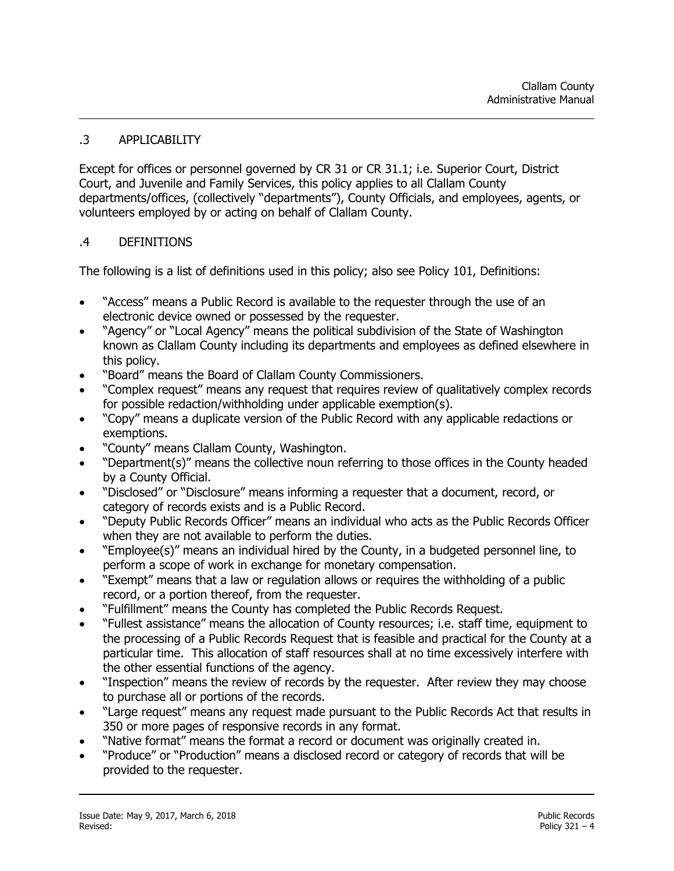#### .3 APPLICABILITY

Except for offices or personnel governed by CR 31 or CR 31.1; i.e. Superior Court, District Court, and Juvenile and Family Services, this policy applies to all Clallam County departments/offices, (collectively "departments"), County Officials, and employees, agents, or volunteers employed by or acting on behalf of Clallam County.

#### .4 DEFINITIONS

The following is a list of definitions used in this policy; also see Policy 101, Definitions:

- "Access" means a Public Record is available to the requester through the use of an electronic device owned or possessed by the requester.
- "Agency" or "Local Agency" means the political subdivision of the State of Washington known as Clallam County including its departments and employees as defined elsewhere in this policy.
- "Board" means the Board of Clallam County Commissioners.
- "Complex request" means any request that requires review of qualitatively complex records for possible redaction/withholding under applicable exemption(s).
- "Copy" means a duplicate version of the Public Record with any applicable redactions or exemptions.
- "County" means Clallam County, Washington.
- "Department(s)" means the collective noun referring to those offices in the County headed by a County Official.
- "Disclosed" or "Disclosure" means informing a requester that a document, record, or category of records exists and is a Public Record.
- "Deputy Public Records Officer" means an individual who acts as the Public Records Officer when they are not available to perform the duties.
- "Employee(s)" means an individual hired by the County, in a budgeted personnel line, to perform a scope of work in exchange for monetary compensation.
- "Exempt" means that a law or regulation allows or requires the withholding of a public record, or a portion thereof, from the requester.
- "Fulfillment" means the County has completed the Public Records Request.
- "Fullest assistance" means the allocation of County resources; i.e. staff time, equipment to the processing of a Public Records Request that is feasible and practical for the County at a particular time. This allocation of staff resources shall at no time excessively interfere with the other essential functions of the agency.
- "Inspection" means the review of records by the requester. After review they may choose to purchase all or portions of the records.
- "Large request" means any request made pursuant to the Public Records Act that results in 350 or more pages of responsive records in any format.
- "Native format" means the format a record or document was originally created in.
- "Produce" or "Production" means a disclosed record or category of records that will be provided to the requester.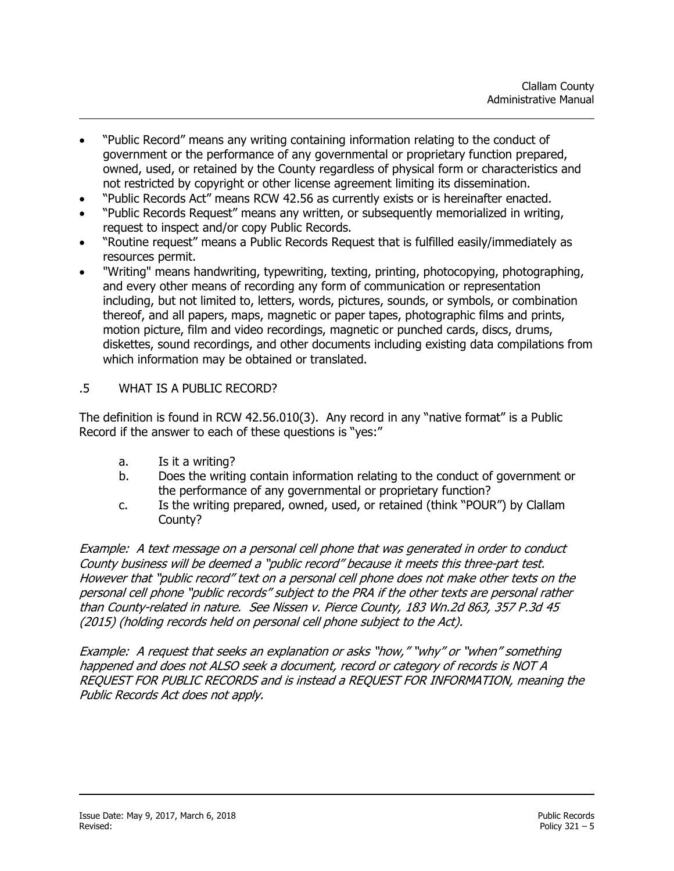- "Public Record" means any writing containing information relating to the conduct of government or the performance of any governmental or proprietary function prepared, owned, used, or retained by the County regardless of physical form or characteristics and not restricted by copyright or other license agreement limiting its dissemination.
- "Public Records Act" means RCW 42.56 as currently exists or is hereinafter enacted.
- "Public Records Request" means any written, or subsequently memorialized in writing, request to inspect and/or copy Public Records.
- "Routine request" means a Public Records Request that is fulfilled easily/immediately as resources permit.
- "Writing" means handwriting, typewriting, texting, printing, photocopying, photographing, and every other means of recording any form of communication or representation including, but not limited to, letters, words, pictures, sounds, or symbols, or combination thereof, and all papers, maps, magnetic or paper tapes, photographic films and prints, motion picture, film and video recordings, magnetic or punched cards, discs, drums, diskettes, sound recordings, and other documents including existing data compilations from which information may be obtained or translated.

#### .5 WHAT IS A PUBLIC RECORD?

The definition is found in RCW 42.56.010(3). Any record in any "native format" is a Public Record if the answer to each of these questions is "yes:"

- a. Is it a writing?
- b. Does the writing contain information relating to the conduct of government or the performance of any governmental or proprietary function?
- c. Is the writing prepared, owned, used, or retained (think "POUR") by Clallam County?

Example: A text message on a personal cell phone that was generated in order to conduct County business will be deemed a "public record" because it meets this three-part test. However that "public record" text on a personal cell phone does not make other texts on the personal cell phone "public records" subject to the PRA if the other texts are personal rather than County-related in nature. See Nissen v. Pierce County, 183 Wn.2d 863, 357 P.3d 45 (2015) (holding records held on personal cell phone subject to the Act).

Example: A request that seeks an explanation or asks "how," "why" or "when" something happened and does not ALSO seek a document, record or category of records is NOT A REQUEST FOR PUBLIC RECORDS and is instead a REQUEST FOR INFORMATION, meaning the Public Records Act does not apply.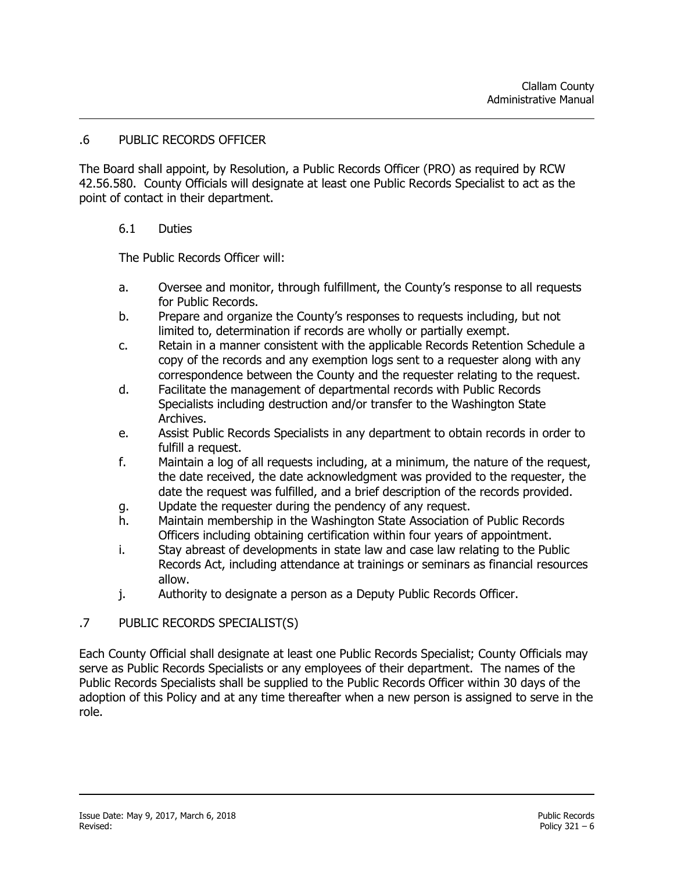#### .6 PUBLIC RECORDS OFFICER

The Board shall appoint, by Resolution, a Public Records Officer (PRO) as required by RCW 42.56.580. County Officials will designate at least one Public Records Specialist to act as the point of contact in their department.

#### 6.1 Duties

The Public Records Officer will:

- a. Oversee and monitor, through fulfillment, the County's response to all requests for Public Records.
- b. Prepare and organize the County's responses to requests including, but not limited to, determination if records are wholly or partially exempt.
- c. Retain in a manner consistent with the applicable Records Retention Schedule a copy of the records and any exemption logs sent to a requester along with any correspondence between the County and the requester relating to the request.
- d. Facilitate the management of departmental records with Public Records Specialists including destruction and/or transfer to the Washington State Archives.
- e. Assist Public Records Specialists in any department to obtain records in order to fulfill a request.
- f. Maintain a log of all requests including, at a minimum, the nature of the request, the date received, the date acknowledgment was provided to the requester, the date the request was fulfilled, and a brief description of the records provided.
- g. Update the requester during the pendency of any request.
- h. Maintain membership in the Washington State Association of Public Records Officers including obtaining certification within four years of appointment.
- i. Stay abreast of developments in state law and case law relating to the Public Records Act, including attendance at trainings or seminars as financial resources allow.
- j. Authority to designate a person as a Deputy Public Records Officer.

#### .7 PUBLIC RECORDS SPECIALIST(S)

Each County Official shall designate at least one Public Records Specialist; County Officials may serve as Public Records Specialists or any employees of their department. The names of the Public Records Specialists shall be supplied to the Public Records Officer within 30 days of the adoption of this Policy and at any time thereafter when a new person is assigned to serve in the role.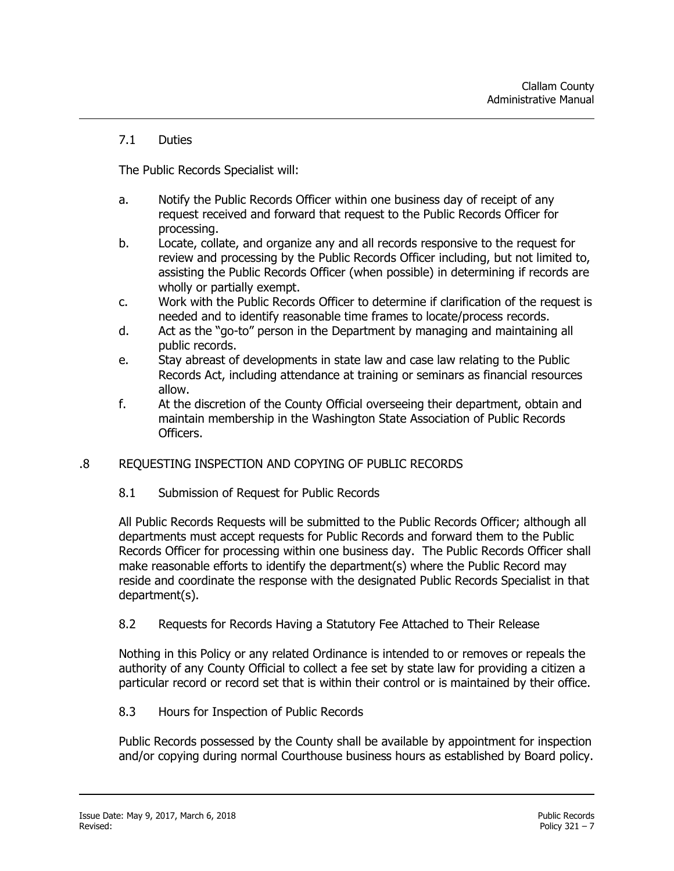#### 7.1 Duties

The Public Records Specialist will:

- a. Notify the Public Records Officer within one business day of receipt of any request received and forward that request to the Public Records Officer for processing.
- b. Locate, collate, and organize any and all records responsive to the request for review and processing by the Public Records Officer including, but not limited to, assisting the Public Records Officer (when possible) in determining if records are wholly or partially exempt.
- c. Work with the Public Records Officer to determine if clarification of the request is needed and to identify reasonable time frames to locate/process records.
- d. Act as the "go-to" person in the Department by managing and maintaining all public records.
- e. Stay abreast of developments in state law and case law relating to the Public Records Act, including attendance at training or seminars as financial resources allow.
- f. At the discretion of the County Official overseeing their department, obtain and maintain membership in the Washington State Association of Public Records Officers.

#### .8 REQUESTING INSPECTION AND COPYING OF PUBLIC RECORDS

8.1 Submission of Request for Public Records

All Public Records Requests will be submitted to the Public Records Officer; although all departments must accept requests for Public Records and forward them to the Public Records Officer for processing within one business day. The Public Records Officer shall make reasonable efforts to identify the department(s) where the Public Record may reside and coordinate the response with the designated Public Records Specialist in that department(s).

#### 8.2 Requests for Records Having a Statutory Fee Attached to Their Release

Nothing in this Policy or any related Ordinance is intended to or removes or repeals the authority of any County Official to collect a fee set by state law for providing a citizen a particular record or record set that is within their control or is maintained by their office.

#### 8.3 Hours for Inspection of Public Records

Public Records possessed by the County shall be available by appointment for inspection and/or copying during normal Courthouse business hours as established by Board policy.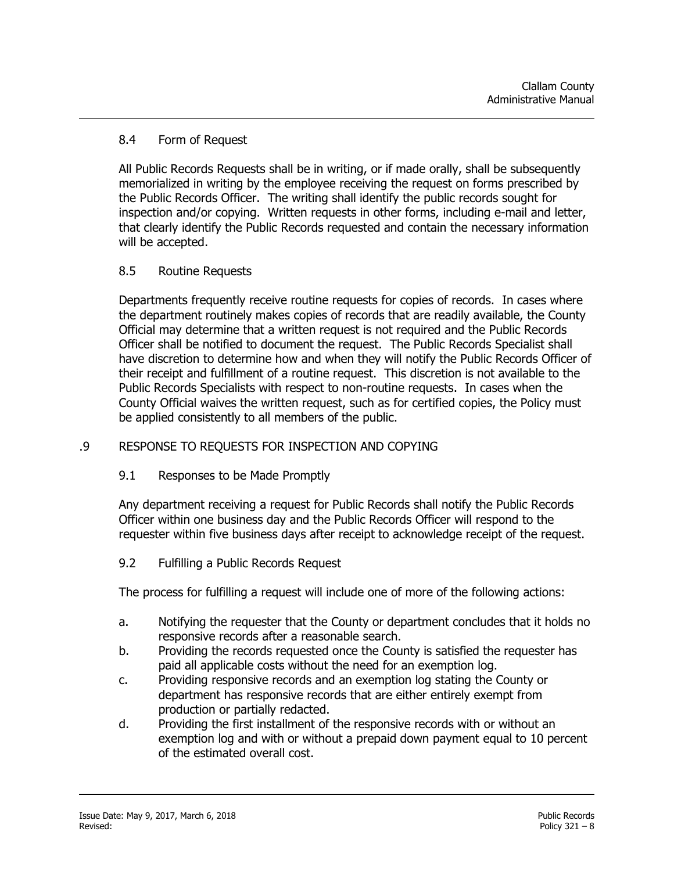#### 8.4 Form of Request

All Public Records Requests shall be in writing, or if made orally, shall be subsequently memorialized in writing by the employee receiving the request on forms prescribed by the Public Records Officer. The writing shall identify the public records sought for inspection and/or copying. Written requests in other forms, including e-mail and letter, that clearly identify the Public Records requested and contain the necessary information will be accepted.

#### 8.5 Routine Requests

Departments frequently receive routine requests for copies of records. In cases where the department routinely makes copies of records that are readily available, the County Official may determine that a written request is not required and the Public Records Officer shall be notified to document the request. The Public Records Specialist shall have discretion to determine how and when they will notify the Public Records Officer of their receipt and fulfillment of a routine request. This discretion is not available to the Public Records Specialists with respect to non-routine requests. In cases when the County Official waives the written request, such as for certified copies, the Policy must be applied consistently to all members of the public.

#### .9 RESPONSE TO REQUESTS FOR INSPECTION AND COPYING

#### 9.1 Responses to be Made Promptly

Any department receiving a request for Public Records shall notify the Public Records Officer within one business day and the Public Records Officer will respond to the requester within five business days after receipt to acknowledge receipt of the request.

9.2 Fulfilling a Public Records Request

The process for fulfilling a request will include one of more of the following actions:

- a. Notifying the requester that the County or department concludes that it holds no responsive records after a reasonable search.
- b. Providing the records requested once the County is satisfied the requester has paid all applicable costs without the need for an exemption log.
- c. Providing responsive records and an exemption log stating the County or department has responsive records that are either entirely exempt from production or partially redacted.
- d. Providing the first installment of the responsive records with or without an exemption log and with or without a prepaid down payment equal to 10 percent of the estimated overall cost.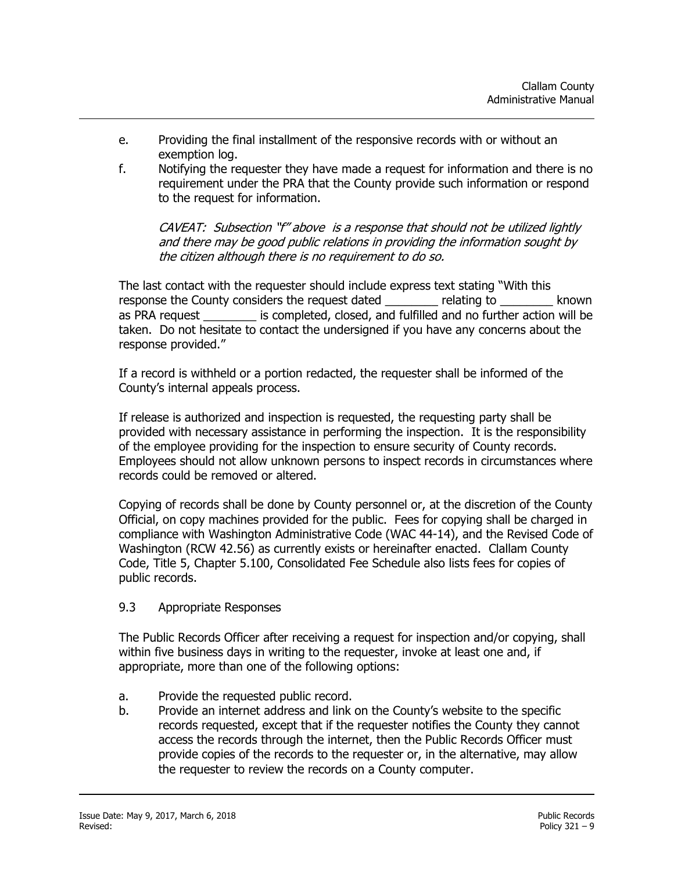- e. Providing the final installment of the responsive records with or without an exemption log.
- f. Notifying the requester they have made a request for information and there is no requirement under the PRA that the County provide such information or respond to the request for information.

CAVEAT: Subsection "f" above is a response that should not be utilized lightly and there may be good public relations in providing the information sought by the citizen although there is no requirement to do so.

The last contact with the requester should include express text stating "With this response the County considers the request dated **replace in the regular relating to** <u>relating</u> to known as PRA request \_\_\_\_\_\_\_\_\_\_ is completed, closed, and fulfilled and no further action will be taken. Do not hesitate to contact the undersigned if you have any concerns about the response provided."

If a record is withheld or a portion redacted, the requester shall be informed of the County's internal appeals process.

If release is authorized and inspection is requested, the requesting party shall be provided with necessary assistance in performing the inspection. It is the responsibility of the employee providing for the inspection to ensure security of County records. Employees should not allow unknown persons to inspect records in circumstances where records could be removed or altered.

Copying of records shall be done by County personnel or, at the discretion of the County Official, on copy machines provided for the public. Fees for copying shall be charged in compliance with Washington Administrative Code (WAC 44-14), and the Revised Code of Washington (RCW 42.56) as currently exists or hereinafter enacted. Clallam County Code, Title 5, Chapter 5.100, Consolidated Fee Schedule also lists fees for copies of public records.

#### 9.3 Appropriate Responses

The Public Records Officer after receiving a request for inspection and/or copying, shall within five business days in writing to the requester, invoke at least one and, if appropriate, more than one of the following options:

- a. Provide the requested public record.
- b. Provide an internet address and link on the County's website to the specific records requested, except that if the requester notifies the County they cannot access the records through the internet, then the Public Records Officer must provide copies of the records to the requester or, in the alternative, may allow the requester to review the records on a County computer.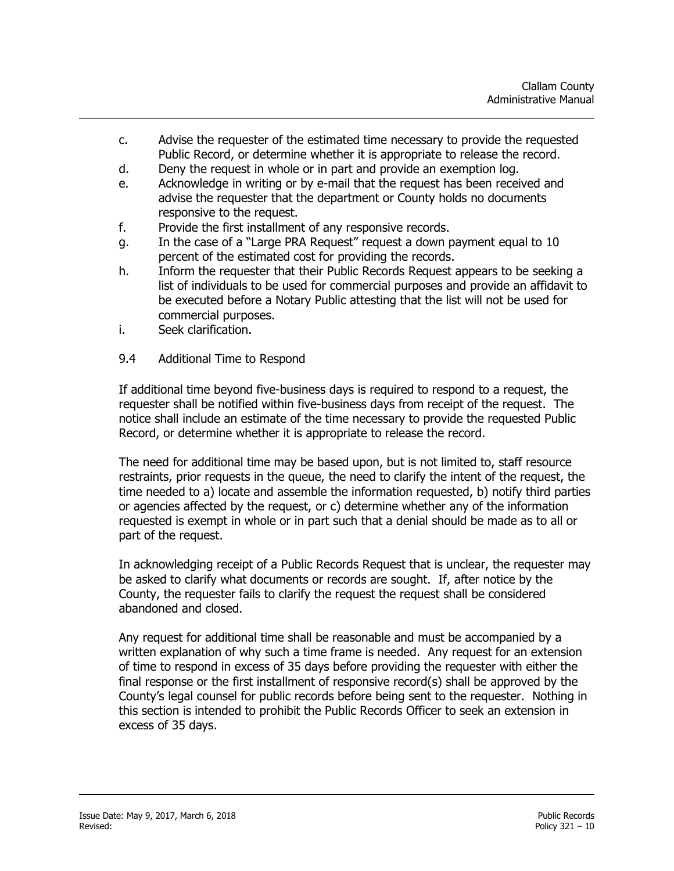- c. Advise the requester of the estimated time necessary to provide the requested Public Record, or determine whether it is appropriate to release the record.
- d. Deny the request in whole or in part and provide an exemption log.
- e. Acknowledge in writing or by e-mail that the request has been received and advise the requester that the department or County holds no documents responsive to the request.
- f. Provide the first installment of any responsive records.
- g. In the case of a "Large PRA Request" request a down payment equal to 10 percent of the estimated cost for providing the records.
- h. Inform the requester that their Public Records Request appears to be seeking a list of individuals to be used for commercial purposes and provide an affidavit to be executed before a Notary Public attesting that the list will not be used for commercial purposes.
- i. Seek clarification.
- 9.4 Additional Time to Respond

If additional time beyond five-business days is required to respond to a request, the requester shall be notified within five-business days from receipt of the request. The notice shall include an estimate of the time necessary to provide the requested Public Record, or determine whether it is appropriate to release the record.

The need for additional time may be based upon, but is not limited to, staff resource restraints, prior requests in the queue, the need to clarify the intent of the request, the time needed to a) locate and assemble the information requested, b) notify third parties or agencies affected by the request, or c) determine whether any of the information requested is exempt in whole or in part such that a denial should be made as to all or part of the request.

In acknowledging receipt of a Public Records Request that is unclear, the requester may be asked to clarify what documents or records are sought. If, after notice by the County, the requester fails to clarify the request the request shall be considered abandoned and closed.

Any request for additional time shall be reasonable and must be accompanied by a written explanation of why such a time frame is needed. Any request for an extension of time to respond in excess of 35 days before providing the requester with either the final response or the first installment of responsive record(s) shall be approved by the County's legal counsel for public records before being sent to the requester. Nothing in this section is intended to prohibit the Public Records Officer to seek an extension in excess of 35 days.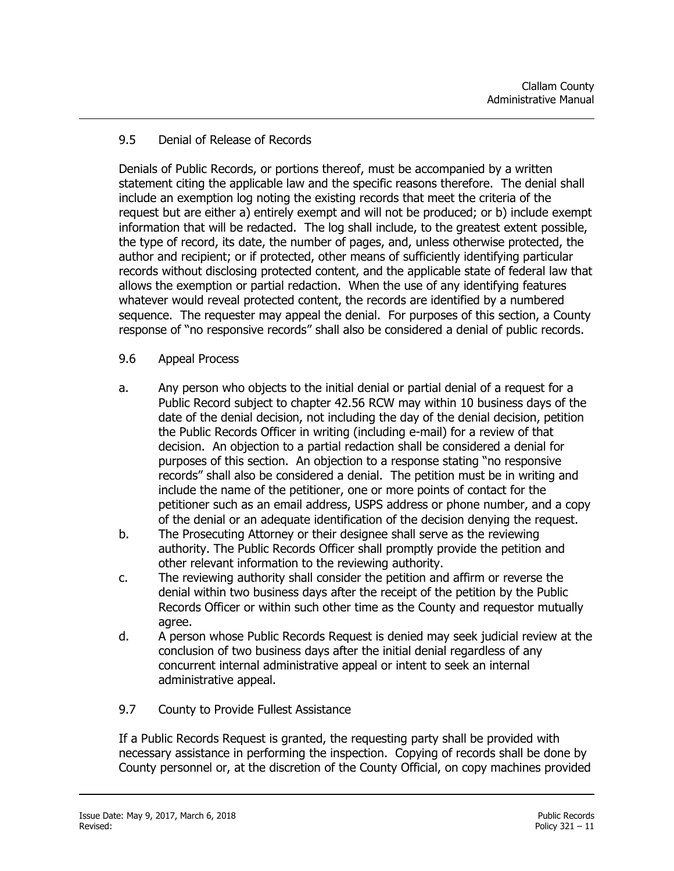#### 9.5 Denial of Release of Records

Denials of Public Records, or portions thereof, must be accompanied by a written statement citing the applicable law and the specific reasons therefore. The denial shall include an exemption log noting the existing records that meet the criteria of the request but are either a) entirely exempt and will not be produced; or b) include exempt information that will be redacted. The log shall include, to the greatest extent possible, the type of record, its date, the number of pages, and, unless otherwise protected, the author and recipient; or if protected, other means of sufficiently identifying particular records without disclosing protected content, and the applicable state of federal law that allows the exemption or partial redaction. When the use of any identifying features whatever would reveal protected content, the records are identified by a numbered sequence. The requester may appeal the denial. For purposes of this section, a County response of "no responsive records" shall also be considered a denial of public records.

#### 9.6 Appeal Process

- a. Any person who objects to the initial denial or partial denial of a request for a Public Record subject to chapter 42.56 RCW may within 10 business days of the date of the denial decision, not including the day of the denial decision, petition the Public Records Officer in writing (including e-mail) for a review of that decision. An objection to a partial redaction shall be considered a denial for purposes of this section. An objection to a response stating "no responsive records" shall also be considered a denial. The petition must be in writing and include the name of the petitioner, one or more points of contact for the petitioner such as an email address, USPS address or phone number, and a copy of the denial or an adequate identification of the decision denying the request.
- b. The Prosecuting Attorney or their designee shall serve as the reviewing authority. The Public Records Officer shall promptly provide the petition and other relevant information to the reviewing authority.
- c. The reviewing authority shall consider the petition and affirm or reverse the denial within two business days after the receipt of the petition by the Public Records Officer or within such other time as the County and requestor mutually agree.
- d. A person whose Public Records Request is denied may seek judicial review at the conclusion of two business days after the initial denial regardless of any concurrent internal administrative appeal or intent to seek an internal administrative appeal.
- 9.7 County to Provide Fullest Assistance

If a Public Records Request is granted, the requesting party shall be provided with necessary assistance in performing the inspection. Copying of records shall be done by County personnel or, at the discretion of the County Official, on copy machines provided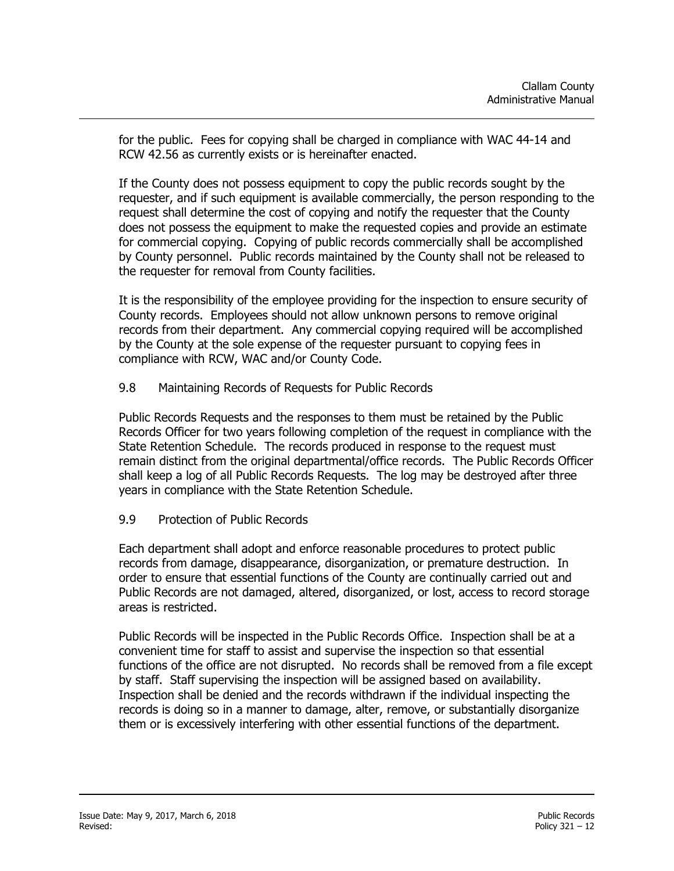for the public. Fees for copying shall be charged in compliance with WAC 44-14 and RCW 42.56 as currently exists or is hereinafter enacted.

If the County does not possess equipment to copy the public records sought by the requester, and if such equipment is available commercially, the person responding to the request shall determine the cost of copying and notify the requester that the County does not possess the equipment to make the requested copies and provide an estimate for commercial copying. Copying of public records commercially shall be accomplished by County personnel. Public records maintained by the County shall not be released to the requester for removal from County facilities.

It is the responsibility of the employee providing for the inspection to ensure security of County records. Employees should not allow unknown persons to remove original records from their department. Any commercial copying required will be accomplished by the County at the sole expense of the requester pursuant to copying fees in compliance with RCW, WAC and/or County Code.

9.8 Maintaining Records of Requests for Public Records

Public Records Requests and the responses to them must be retained by the Public Records Officer for two years following completion of the request in compliance with the State Retention Schedule. The records produced in response to the request must remain distinct from the original departmental/office records. The Public Records Officer shall keep a log of all Public Records Requests. The log may be destroyed after three years in compliance with the State Retention Schedule.

9.9 Protection of Public Records

Each department shall adopt and enforce reasonable procedures to protect public records from damage, disappearance, disorganization, or premature destruction. In order to ensure that essential functions of the County are continually carried out and Public Records are not damaged, altered, disorganized, or lost, access to record storage areas is restricted.

Public Records will be inspected in the Public Records Office. Inspection shall be at a convenient time for staff to assist and supervise the inspection so that essential functions of the office are not disrupted. No records shall be removed from a file except by staff. Staff supervising the inspection will be assigned based on availability. Inspection shall be denied and the records withdrawn if the individual inspecting the records is doing so in a manner to damage, alter, remove, or substantially disorganize them or is excessively interfering with other essential functions of the department.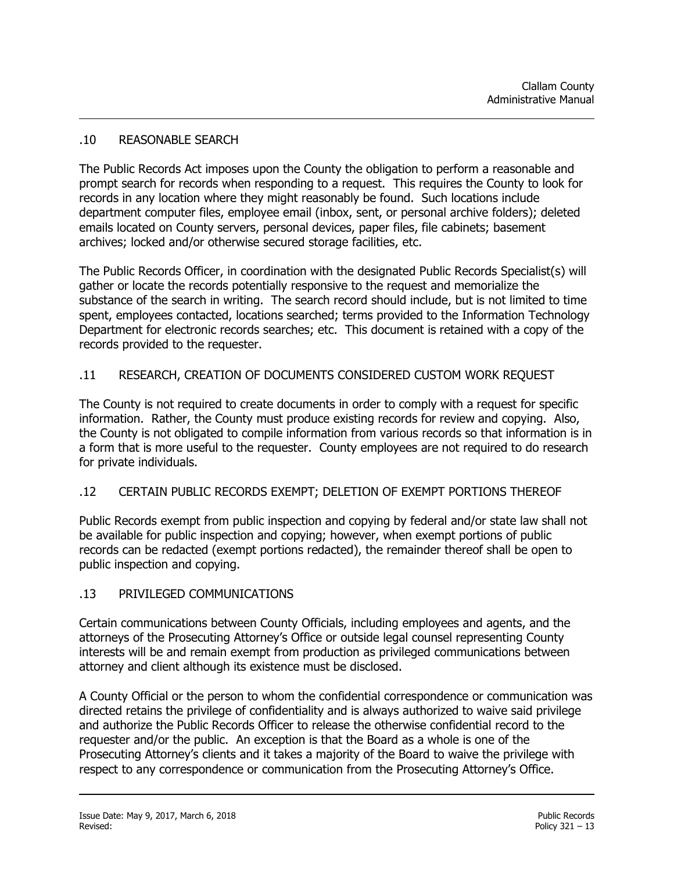#### .10 REASONABLE SEARCH

The Public Records Act imposes upon the County the obligation to perform a reasonable and prompt search for records when responding to a request. This requires the County to look for records in any location where they might reasonably be found. Such locations include department computer files, employee email (inbox, sent, or personal archive folders); deleted emails located on County servers, personal devices, paper files, file cabinets; basement archives; locked and/or otherwise secured storage facilities, etc.

The Public Records Officer, in coordination with the designated Public Records Specialist(s) will gather or locate the records potentially responsive to the request and memorialize the substance of the search in writing. The search record should include, but is not limited to time spent, employees contacted, locations searched; terms provided to the Information Technology Department for electronic records searches; etc. This document is retained with a copy of the records provided to the requester.

#### .11 RESEARCH, CREATION OF DOCUMENTS CONSIDERED CUSTOM WORK REQUEST

The County is not required to create documents in order to comply with a request for specific information. Rather, the County must produce existing records for review and copying. Also, the County is not obligated to compile information from various records so that information is in a form that is more useful to the requester. County employees are not required to do research for private individuals.

#### .12 CERTAIN PUBLIC RECORDS EXEMPT; DELETION OF EXEMPT PORTIONS THEREOF

Public Records exempt from public inspection and copying by federal and/or state law shall not be available for public inspection and copying; however, when exempt portions of public records can be redacted (exempt portions redacted), the remainder thereof shall be open to public inspection and copying.

#### .13 PRIVILEGED COMMUNICATIONS

Certain communications between County Officials, including employees and agents, and the attorneys of the Prosecuting Attorney's Office or outside legal counsel representing County interests will be and remain exempt from production as privileged communications between attorney and client although its existence must be disclosed.

A County Official or the person to whom the confidential correspondence or communication was directed retains the privilege of confidentiality and is always authorized to waive said privilege and authorize the Public Records Officer to release the otherwise confidential record to the requester and/or the public. An exception is that the Board as a whole is one of the Prosecuting Attorney's clients and it takes a majority of the Board to waive the privilege with respect to any correspondence or communication from the Prosecuting Attorney's Office.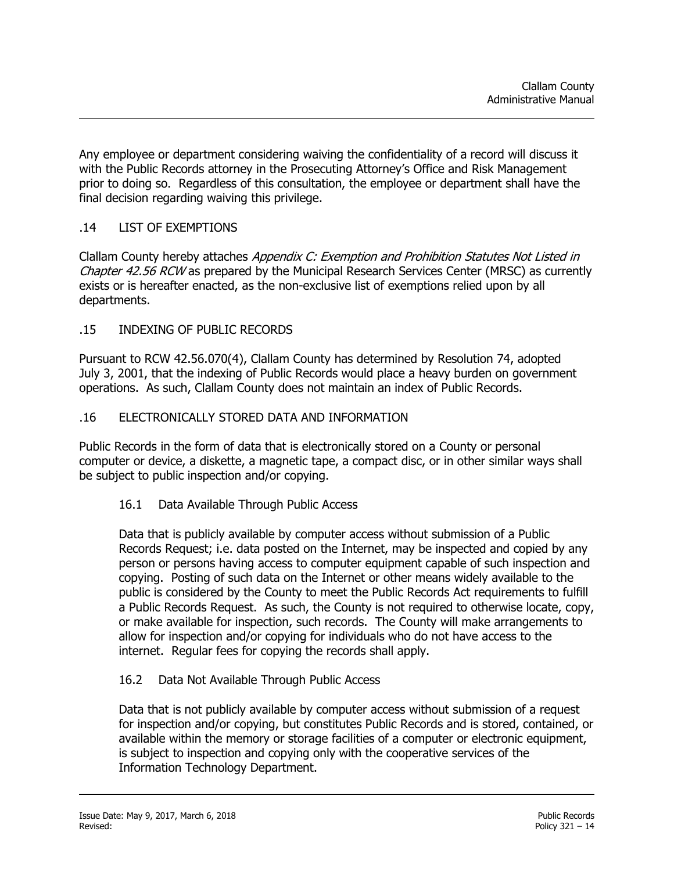Any employee or department considering waiving the confidentiality of a record will discuss it with the Public Records attorney in the Prosecuting Attorney's Office and Risk Management prior to doing so. Regardless of this consultation, the employee or department shall have the final decision regarding waiving this privilege.

#### .14 LIST OF EXEMPTIONS

Clallam County hereby attaches Appendix C: Exemption and Prohibition Statutes Not Listed in Chapter 42.56 RCW as prepared by the Municipal Research Services Center (MRSC) as currently exists or is hereafter enacted, as the non-exclusive list of exemptions relied upon by all departments.

#### .15 INDEXING OF PUBLIC RECORDS

Pursuant to RCW 42.56.070(4), Clallam County has determined by Resolution 74, adopted July 3, 2001, that the indexing of Public Records would place a heavy burden on government operations. As such, Clallam County does not maintain an index of Public Records.

#### .16 ELECTRONICALLY STORED DATA AND INFORMATION

Public Records in the form of data that is electronically stored on a County or personal computer or device, a diskette, a magnetic tape, a compact disc, or in other similar ways shall be subject to public inspection and/or copying.

#### 16.1 Data Available Through Public Access

Data that is publicly available by computer access without submission of a Public Records Request; i.e. data posted on the Internet, may be inspected and copied by any person or persons having access to computer equipment capable of such inspection and copying. Posting of such data on the Internet or other means widely available to the public is considered by the County to meet the Public Records Act requirements to fulfill a Public Records Request. As such, the County is not required to otherwise locate, copy, or make available for inspection, such records. The County will make arrangements to allow for inspection and/or copying for individuals who do not have access to the internet. Regular fees for copying the records shall apply.

#### 16.2 Data Not Available Through Public Access

Data that is not publicly available by computer access without submission of a request for inspection and/or copying, but constitutes Public Records and is stored, contained, or available within the memory or storage facilities of a computer or electronic equipment, is subject to inspection and copying only with the cooperative services of the Information Technology Department.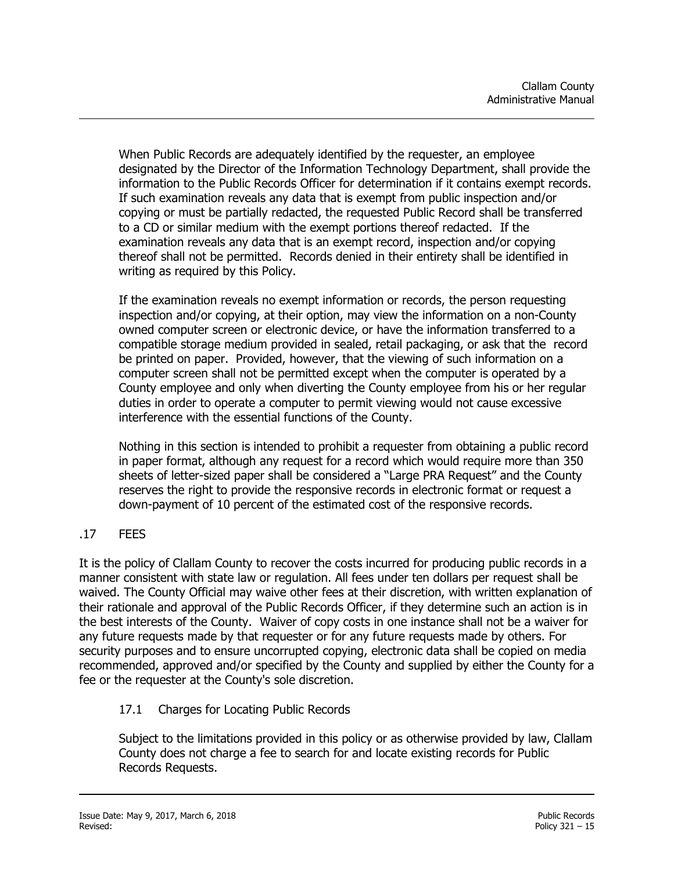When Public Records are adequately identified by the requester, an employee designated by the Director of the Information Technology Department, shall provide the information to the Public Records Officer for determination if it contains exempt records. If such examination reveals any data that is exempt from public inspection and/or copying or must be partially redacted, the requested Public Record shall be transferred to a CD or similar medium with the exempt portions thereof redacted. If the examination reveals any data that is an exempt record, inspection and/or copying thereof shall not be permitted. Records denied in their entirety shall be identified in writing as required by this Policy.

If the examination reveals no exempt information or records, the person requesting inspection and/or copying, at their option, may view the information on a non-County owned computer screen or electronic device, or have the information transferred to a compatible storage medium provided in sealed, retail packaging, or ask that the record be printed on paper. Provided, however, that the viewing of such information on a computer screen shall not be permitted except when the computer is operated by a County employee and only when diverting the County employee from his or her regular duties in order to operate a computer to permit viewing would not cause excessive interference with the essential functions of the County.

Nothing in this section is intended to prohibit a requester from obtaining a public record in paper format, although any request for a record which would require more than 350 sheets of letter-sized paper shall be considered a "Large PRA Request" and the County reserves the right to provide the responsive records in electronic format or request a down-payment of 10 percent of the estimated cost of the responsive records.

#### .17 FEES

It is the policy of Clallam County to recover the costs incurred for producing public records in a manner consistent with state law or regulation. All fees under ten dollars per request shall be waived. The County Official may waive other fees at their discretion, with written explanation of their rationale and approval of the Public Records Officer, if they determine such an action is in the best interests of the County. Waiver of copy costs in one instance shall not be a waiver for any future requests made by that requester or for any future requests made by others. For security purposes and to ensure uncorrupted copying, electronic data shall be copied on media recommended, approved and/or specified by the County and supplied by either the County for a fee or the requester at the County's sole discretion.

#### 17.1 Charges for Locating Public Records

Subject to the limitations provided in this policy or as otherwise provided by law, Clallam County does not charge a fee to search for and locate existing records for Public Records Requests.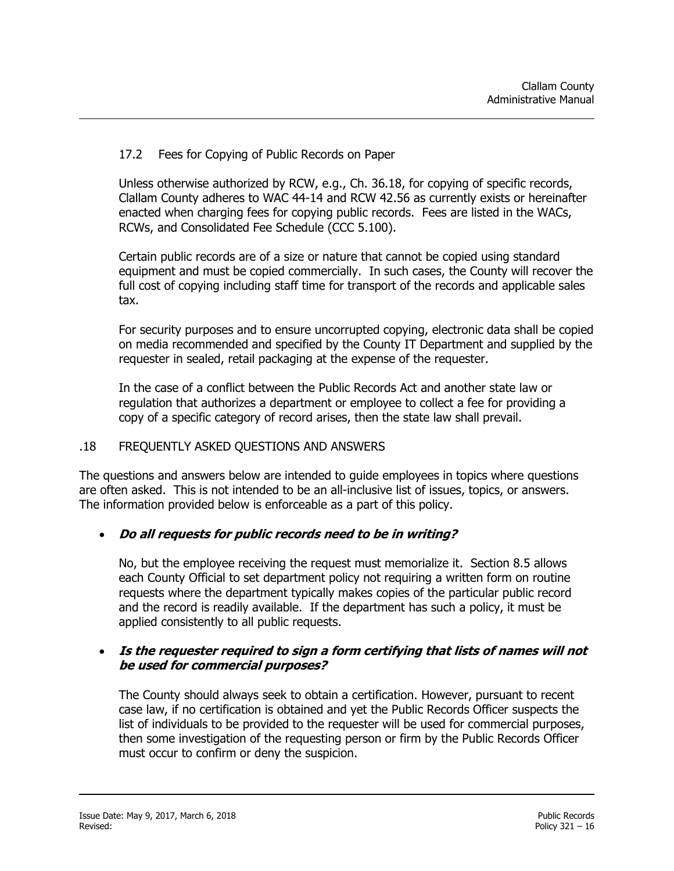#### 17.2 Fees for Copying of Public Records on Paper

Unless otherwise authorized by RCW, e.g., Ch. 36.18, for copying of specific records, Clallam County adheres to WAC 44-14 and RCW 42.56 as currently exists or hereinafter enacted when charging fees for copying public records. Fees are listed in the WACs, RCWs, and Consolidated Fee Schedule (CCC 5.100).

Certain public records are of a size or nature that cannot be copied using standard equipment and must be copied commercially. In such cases, the County will recover the full cost of copying including staff time for transport of the records and applicable sales tax.

For security purposes and to ensure uncorrupted copying, electronic data shall be copied on media recommended and specified by the County IT Department and supplied by the requester in sealed, retail packaging at the expense of the requester.

In the case of a conflict between the Public Records Act and another state law or regulation that authorizes a department or employee to collect a fee for providing a copy of a specific category of record arises, then the state law shall prevail.

#### .18 FREQUENTLY ASKED QUESTIONS AND ANSWERS

The questions and answers below are intended to guide employees in topics where questions are often asked. This is not intended to be an all-inclusive list of issues, topics, or answers. The information provided below is enforceable as a part of this policy.

#### **Do all requests for public records need to be in writing?**

No, but the employee receiving the request must memorialize it. Section 8.5 allows each County Official to set department policy not requiring a written form on routine requests where the department typically makes copies of the particular public record and the record is readily available. If the department has such a policy, it must be applied consistently to all public requests.

#### **Is the requester required to sign a form certifying that lists of names will not be used for commercial purposes?**

The County should always seek to obtain a certification. However, pursuant to recent case law, if no certification is obtained and yet the Public Records Officer suspects the list of individuals to be provided to the requester will be used for commercial purposes, then some investigation of the requesting person or firm by the Public Records Officer must occur to confirm or deny the suspicion.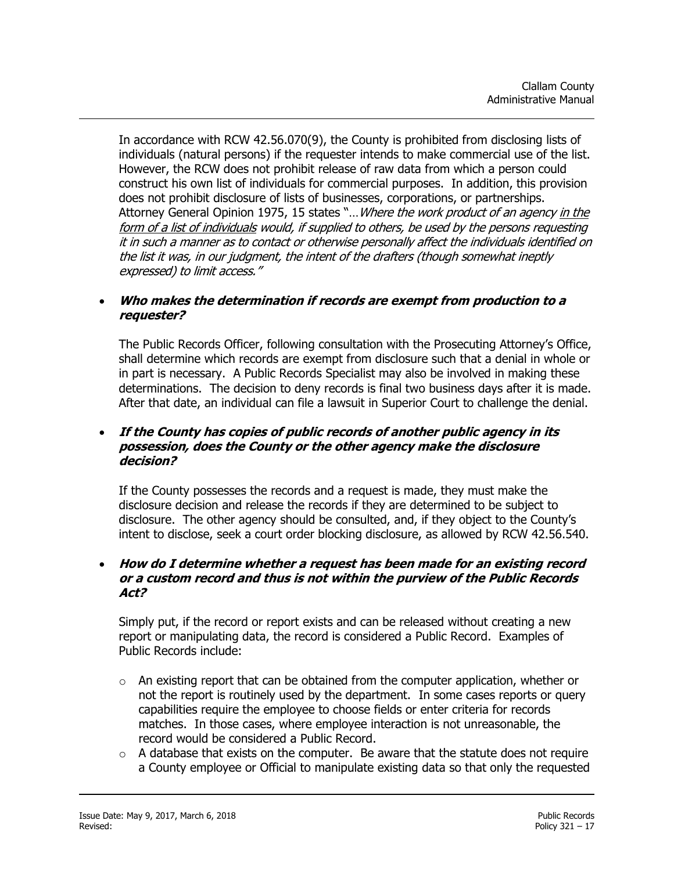In accordance with RCW 42.56.070(9), the County is prohibited from disclosing lists of individuals (natural persons) if the requester intends to make commercial use of the list. However, the RCW does not prohibit release of raw data from which a person could construct his own list of individuals for commercial purposes. In addition, this provision does not prohibit disclosure of lists of businesses, corporations, or partnerships. Attorney General Opinion 1975, 15 states "... Where the work product of an agency in the form of a list of individuals would, if supplied to others, be used by the persons requesting it in such a manner as to contact or otherwise personally affect the individuals identified on the list it was, in our judgment, the intent of the drafters (though somewhat ineptly expressed) to limit access."

#### **Who makes the determination if records are exempt from production to a requester?**

The Public Records Officer, following consultation with the Prosecuting Attorney's Office, shall determine which records are exempt from disclosure such that a denial in whole or in part is necessary. A Public Records Specialist may also be involved in making these determinations. The decision to deny records is final two business days after it is made. After that date, an individual can file a lawsuit in Superior Court to challenge the denial.

#### **If the County has copies of public records of another public agency in its possession, does the County or the other agency make the disclosure decision?**

If the County possesses the records and a request is made, they must make the disclosure decision and release the records if they are determined to be subject to disclosure. The other agency should be consulted, and, if they object to the County's intent to disclose, seek a court order blocking disclosure, as allowed by RCW 42.56.540.

#### **How do I determine whether a request has been made for an existing record or a custom record and thus is not within the purview of the Public Records Act?**

Simply put, if the record or report exists and can be released without creating a new report or manipulating data, the record is considered a Public Record. Examples of Public Records include:

- $\circ$  An existing report that can be obtained from the computer application, whether or not the report is routinely used by the department. In some cases reports or query capabilities require the employee to choose fields or enter criteria for records matches. In those cases, where employee interaction is not unreasonable, the record would be considered a Public Record.
- $\circ$  A database that exists on the computer. Be aware that the statute does not require a County employee or Official to manipulate existing data so that only the requested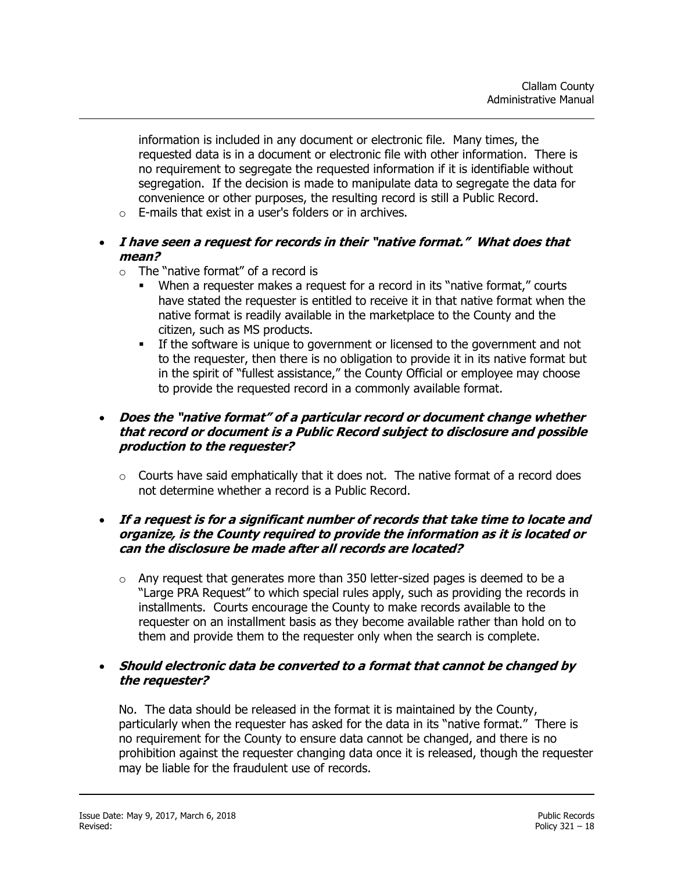information is included in any document or electronic file. Many times, the requested data is in a document or electronic file with other information. There is no requirement to segregate the requested information if it is identifiable without segregation. If the decision is made to manipulate data to segregate the data for convenience or other purposes, the resulting record is still a Public Record.

 $\circ$  E-mails that exist in a user's folders or in archives.

#### **I have seen a request for records in their "native format." What does that mean?**

- o The "native format" of a record is
	- When a requester makes a request for a record in its "native format," courts have stated the requester is entitled to receive it in that native format when the native format is readily available in the marketplace to the County and the citizen, such as MS products.
	- If the software is unique to government or licensed to the government and not to the requester, then there is no obligation to provide it in its native format but in the spirit of "fullest assistance," the County Official or employee may choose to provide the requested record in a commonly available format.

#### **Does the "native format" of a particular record or document change whether that record or document is a Public Record subject to disclosure and possible production to the requester?**

 $\circ$  Courts have said emphatically that it does not. The native format of a record does not determine whether a record is a Public Record.

#### **If a request is for a significant number of records that take time to locate and organize, is the County required to provide the information as it is located or can the disclosure be made after all records are located?**

 $\circ$  Any request that generates more than 350 letter-sized pages is deemed to be a "Large PRA Request" to which special rules apply, such as providing the records in installments. Courts encourage the County to make records available to the requester on an installment basis as they become available rather than hold on to them and provide them to the requester only when the search is complete.

#### **Should electronic data be converted to a format that cannot be changed by the requester?**

No. The data should be released in the format it is maintained by the County, particularly when the requester has asked for the data in its "native format." There is no requirement for the County to ensure data cannot be changed, and there is no prohibition against the requester changing data once it is released, though the requester may be liable for the fraudulent use of records.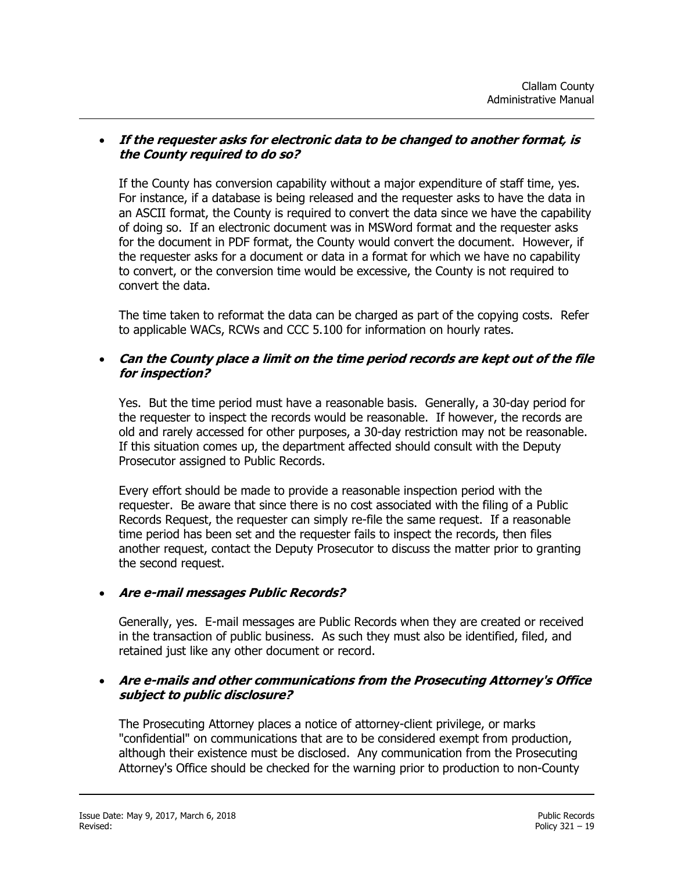#### **If the requester asks for electronic data to be changed to another format, is the County required to do so?**

If the County has conversion capability without a major expenditure of staff time, yes. For instance, if a database is being released and the requester asks to have the data in an ASCII format, the County is required to convert the data since we have the capability of doing so. If an electronic document was in MSWord format and the requester asks for the document in PDF format, the County would convert the document. However, if the requester asks for a document or data in a format for which we have no capability to convert, or the conversion time would be excessive, the County is not required to convert the data.

The time taken to reformat the data can be charged as part of the copying costs. Refer to applicable WACs, RCWs and CCC 5.100 for information on hourly rates.

#### **Can the County place a limit on the time period records are kept out of the file for inspection?**

Yes. But the time period must have a reasonable basis. Generally, a 30-day period for the requester to inspect the records would be reasonable. If however, the records are old and rarely accessed for other purposes, a 30-day restriction may not be reasonable. If this situation comes up, the department affected should consult with the Deputy Prosecutor assigned to Public Records.

Every effort should be made to provide a reasonable inspection period with the requester. Be aware that since there is no cost associated with the filing of a Public Records Request, the requester can simply re-file the same request. If a reasonable time period has been set and the requester fails to inspect the records, then files another request, contact the Deputy Prosecutor to discuss the matter prior to granting the second request.

#### **Are e-mail messages Public Records?**

Generally, yes. E-mail messages are Public Records when they are created or received in the transaction of public business. As such they must also be identified, filed, and retained just like any other document or record.

#### **Are e-mails and other communications from the Prosecuting Attorney's Office subject to public disclosure?**

The Prosecuting Attorney places a notice of attorney-client privilege, or marks "confidential" on communications that are to be considered exempt from production, although their existence must be disclosed. Any communication from the Prosecuting Attorney's Office should be checked for the warning prior to production to non-County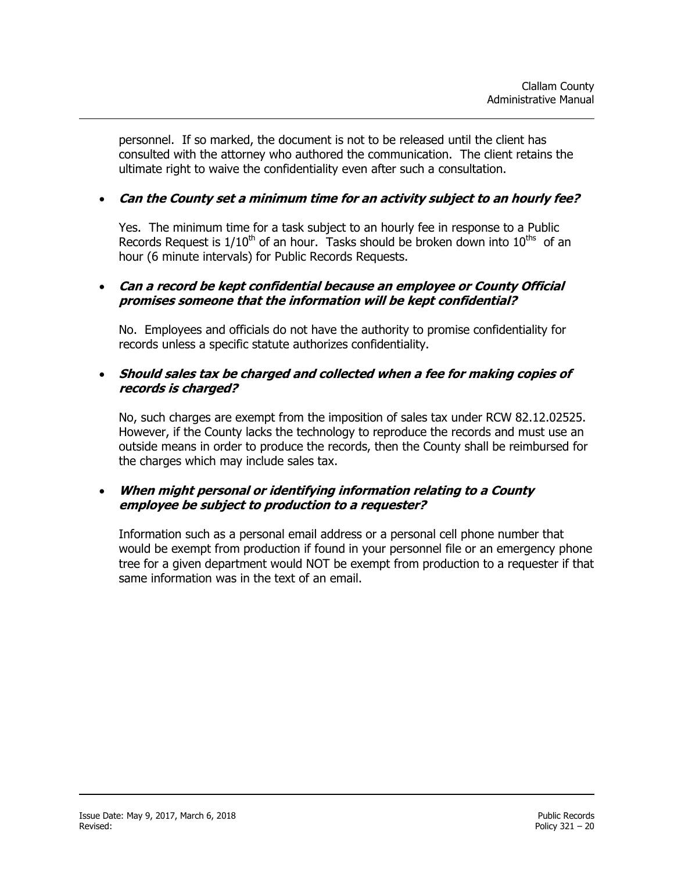personnel. If so marked, the document is not to be released until the client has consulted with the attorney who authored the communication. The client retains the ultimate right to waive the confidentiality even after such a consultation.

#### **Can the County set a minimum time for an activity subject to an hourly fee?**

Yes. The minimum time for a task subject to an hourly fee in response to a Public Records Request is  $1/10^{th}$  of an hour. Tasks should be broken down into  $10^{ths}$  of an hour (6 minute intervals) for Public Records Requests.

#### **Can a record be kept confidential because an employee or County Official promises someone that the information will be kept confidential?**

No. Employees and officials do not have the authority to promise confidentiality for records unless a specific statute authorizes confidentiality.

#### **Should sales tax be charged and collected when a fee for making copies of records is charged?**

No, such charges are exempt from the imposition of sales tax under RCW 82.12.02525. However, if the County lacks the technology to reproduce the records and must use an outside means in order to produce the records, then the County shall be reimbursed for the charges which may include sales tax.

#### **When might personal or identifying information relating to a County employee be subject to production to a requester?**

Information such as a personal email address or a personal cell phone number that would be exempt from production if found in your personnel file or an emergency phone tree for a given department would NOT be exempt from production to a requester if that same information was in the text of an email.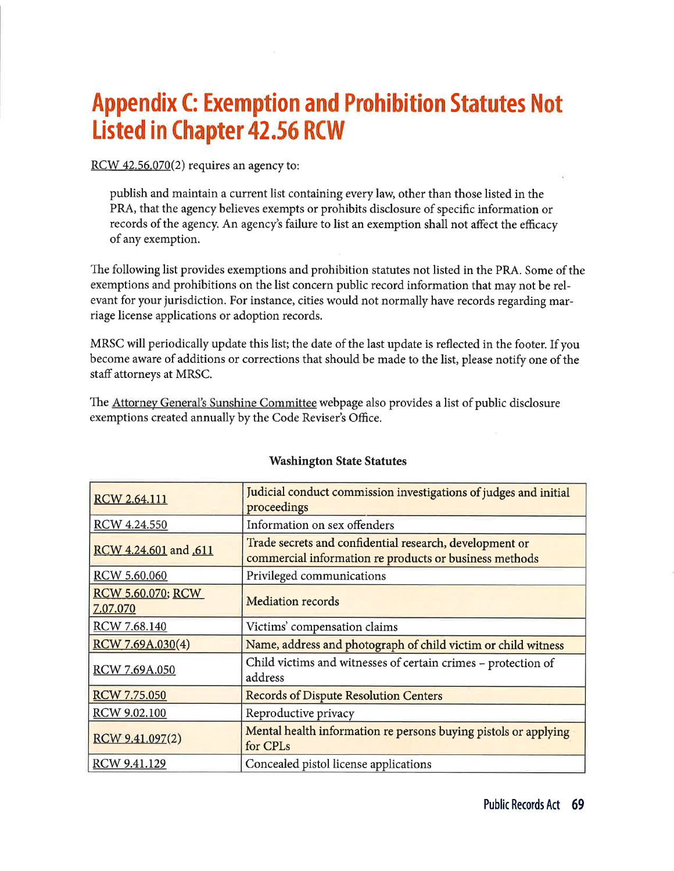# Appendix C: Exemption and Prohibition Statutes Not Listed in Chapter 42.56 RCW

#### $RCW$  42.56.070(2) requires an agency to:

publish and maintain a current list containing every law, other than those listed in the PRA, that the agency believes exempts or prohibits disclosure of specific information or records of the agency. An agency's failure to list an exemption shall not affect the eficacy of any exemption.

The following list provides exemptions and prohibition statutes not listed in the PRA. Some of the exemptions and prohibitions on the list concern public record information that may not be relevant for your jurisdiction. For instance, cities would not normally have records regarding marriage license applications or adoption records.

MRSC will periodically update this list; the date of the last update is reflected in the footer. If you become aware of additions or corrections that should be made to the list, please notify one of the staffattorneys at MRSC.

The Attorney General's Sunshine Committee webpage also provides a list of public disclosure exemptions created annually by the Code Reviser's Office.

| <b>RCW 2.64.111</b>                  | Judicial conduct commission investigations of judges and initial<br>proceedings                                   |
|--------------------------------------|-------------------------------------------------------------------------------------------------------------------|
| RCW 4.24.550                         | Information on sex offenders                                                                                      |
| RCW 4.24.601 and 611                 | Trade secrets and confidential research, development or<br>commercial information re products or business methods |
| RCW 5.60.060                         | Privileged communications                                                                                         |
| <b>RCW 5.60.070; RCW</b><br>7.07.070 | <b>Mediation</b> records                                                                                          |
| RCW 7.68.140                         | Victims' compensation claims                                                                                      |
| RCW 7.69A.030(4)                     | Name, address and photograph of child victim or child witness                                                     |
| RCW 7.69A.050                        | Child victims and witnesses of certain crimes - protection of<br>address                                          |
| <b>RCW 7.75.050</b>                  | <b>Records of Dispute Resolution Centers</b>                                                                      |
| RCW 9.02.100                         | Reproductive privacy                                                                                              |
| RCW 9.41.097(2)                      | Mental health information re persons buying pistols or applying<br>for CPLs                                       |
| RCW 9.41.129                         | Concealed pistol license applications                                                                             |

#### Washington State Statutes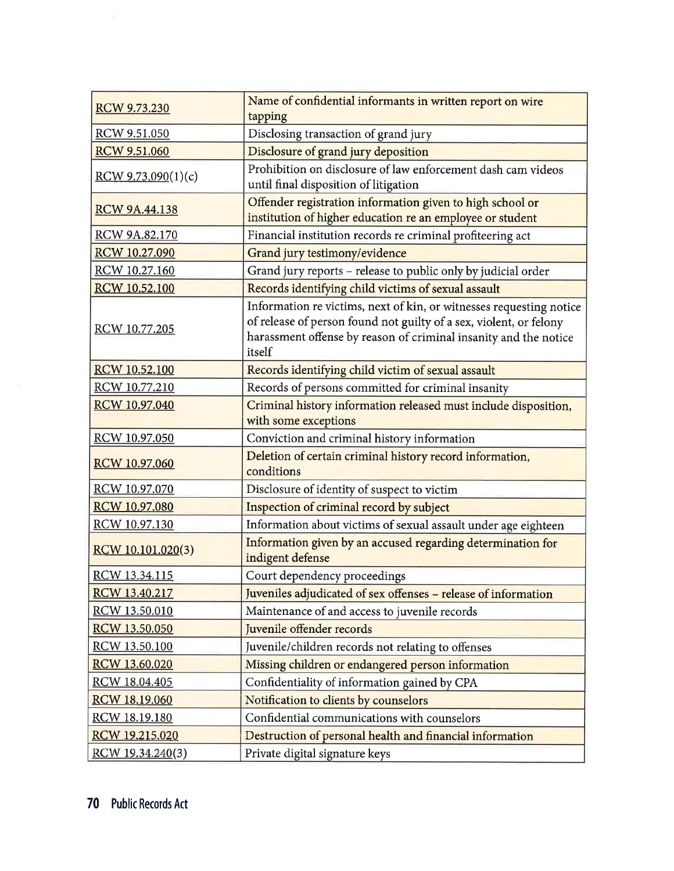| RCW 9.73.230         | Name of confidential informants in written report on wire<br>tapping                                                                                                                                                    |
|----------------------|-------------------------------------------------------------------------------------------------------------------------------------------------------------------------------------------------------------------------|
| RCW 9.51.050         | Disclosing transaction of grand jury                                                                                                                                                                                    |
| RCW 9.51.060         | Disclosure of grand jury deposition                                                                                                                                                                                     |
| $RCW$ 9.73.090(1)(c) | Prohibition on disclosure of law enforcement dash cam videos<br>until final disposition of litigation                                                                                                                   |
| <b>RCW 9A.44.138</b> | Offender registration information given to high school or<br>institution of higher education re an employee or student                                                                                                  |
| RCW 9A.82.170        | Financial institution records re criminal profiteering act                                                                                                                                                              |
| RCW 10.27.090        | Grand jury testimony/evidence                                                                                                                                                                                           |
| RCW 10.27.160        | Grand jury reports - release to public only by judicial order                                                                                                                                                           |
| RCW 10,52.100        | Records identifying child victims of sexual assault                                                                                                                                                                     |
| RCW 10.77.205        | Information re victims, next of kin, or witnesses requesting notice<br>of release of person found not guilty of a sex, violent, or felony<br>harassment offense by reason of criminal insanity and the notice<br>itself |
| RCW 10.52.100        | Records identifying child victim of sexual assault                                                                                                                                                                      |
| RCW 10.77.210        | Records of persons committed for criminal insanity                                                                                                                                                                      |
| RCW 10.97.040        | Criminal history information released must include disposition,<br>with some exceptions                                                                                                                                 |
| RCW 10.97.050        | Conviction and criminal history information                                                                                                                                                                             |
| RCW 10.97.060        | Deletion of certain criminal history record information,<br>conditions                                                                                                                                                  |
| RCW 10.97.070        | Disclosure of identity of suspect to victim                                                                                                                                                                             |
| RCW 10.97.080        | Inspection of criminal record by subject                                                                                                                                                                                |
| RCW 10.97.130        | Information about victims of sexual assault under age eighteen                                                                                                                                                          |
| RCW 10.101.020(3)    | Information given by an accused regarding determination for<br>indigent defense                                                                                                                                         |
| RCW 13.34.115        | Court dependency proceedings                                                                                                                                                                                            |
| <b>RCW 13.40.217</b> | Juveniles adjudicated of sex offenses - release of information                                                                                                                                                          |
| RCW 13.50.010        | Maintenance of and access to juvenile records                                                                                                                                                                           |
| RCW 13.50.050        | Juvenile offender records                                                                                                                                                                                               |
| RCW 13.50.100        | Juvenile/children records not relating to offenses                                                                                                                                                                      |
| RCW 13.60.020        | Missing children or endangered person information                                                                                                                                                                       |
| RCW 18.04.405        | Confidentiality of information gained by CPA                                                                                                                                                                            |
| RCW 18.19.060        | Notification to clients by counselors                                                                                                                                                                                   |
| RCW 18.19.180        | Confidential communications with counselors                                                                                                                                                                             |
| RCW 19.215.020       | Destruction of personal health and financial information                                                                                                                                                                |
| RCW 19.34.240(3)     | Private digital signature keys                                                                                                                                                                                          |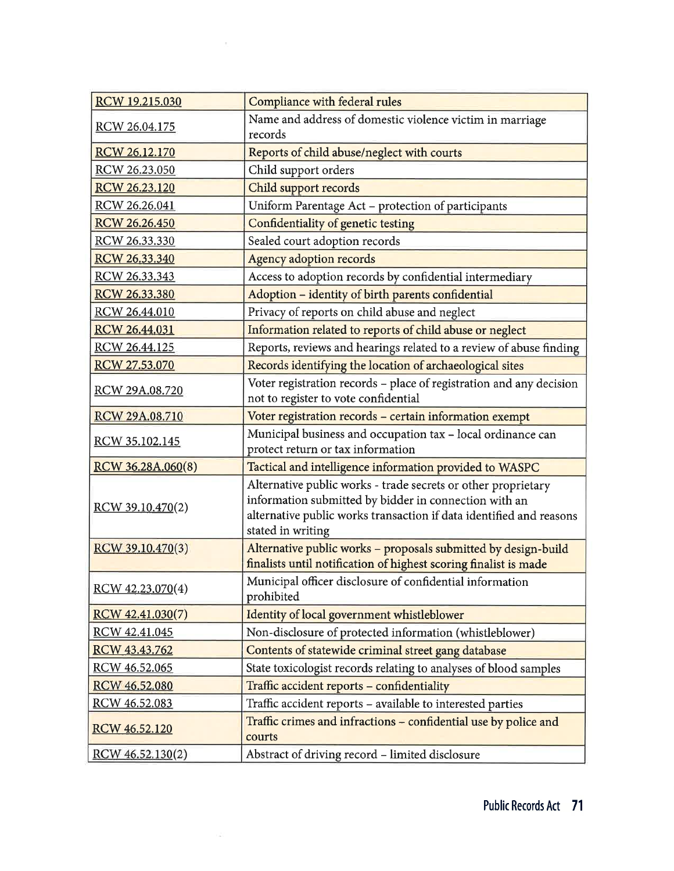| RCW 19.215.030    | Compliance with federal rules                                                                                                                                                                                      |
|-------------------|--------------------------------------------------------------------------------------------------------------------------------------------------------------------------------------------------------------------|
| RCW 26.04.175     | Name and address of domestic violence victim in marriage<br>records                                                                                                                                                |
| RCW 26.12.170     | Reports of child abuse/neglect with courts                                                                                                                                                                         |
| RCW 26.23.050     | Child support orders                                                                                                                                                                                               |
| RCW 26.23.120     | Child support records                                                                                                                                                                                              |
| RCW 26.26.041     | Uniform Parentage Act - protection of participants                                                                                                                                                                 |
| RCW 26.26.450     | Confidentiality of genetic testing                                                                                                                                                                                 |
| RCW 26.33.330     | Sealed court adoption records                                                                                                                                                                                      |
| RCW 26.33.340     | <b>Agency adoption records</b>                                                                                                                                                                                     |
| RCW 26.33.343     | Access to adoption records by confidential intermediary                                                                                                                                                            |
| RCW 26.33.380     | Adoption - identity of birth parents confidential                                                                                                                                                                  |
| RCW 26.44.010     | Privacy of reports on child abuse and neglect                                                                                                                                                                      |
| RCW 26.44.031     | Information related to reports of child abuse or neglect                                                                                                                                                           |
| RCW 26.44.125     | Reports, reviews and hearings related to a review of abuse finding                                                                                                                                                 |
| RCW 27.53.070     | Records identifying the location of archaeological sites                                                                                                                                                           |
| RCW 29A.08.720    | Voter registration records - place of registration and any decision<br>not to register to vote confidential                                                                                                        |
| RCW 29A.08.710    | Voter registration records - certain information exempt                                                                                                                                                            |
| RCW 35.102.145    | Municipal business and occupation tax - local ordinance can<br>protect return or tax information                                                                                                                   |
| RCW 36.28A.060(8) | Tactical and intelligence information provided to WASPC                                                                                                                                                            |
| RCW 39.10.470(2)  | Alternative public works - trade secrets or other proprietary<br>information submitted by bidder in connection with an<br>alternative public works transaction if data identified and reasons<br>stated in writing |
| RCW 39.10.470(3)  | Alternative public works - proposals submitted by design-build<br>finalists until notification of highest scoring finalist is made                                                                                 |
| RCW 42.23.070(4)  | Municipal officer disclosure of confidential information<br>prohibited                                                                                                                                             |
| RCW 42.41.030(7)  | Identity of local government whistleblower                                                                                                                                                                         |
| RCW 42.41.045     | Non-disclosure of protected information (whistleblower)                                                                                                                                                            |
| RCW 43.43.762     | Contents of statewide criminal street gang database                                                                                                                                                                |
| RCW 46.52.065     | State toxicologist records relating to analyses of blood samples                                                                                                                                                   |
| RCW 46.52.080     | Traffic accident reports - confidentiality                                                                                                                                                                         |
| RCW 46.52.083     | Traffic accident reports - available to interested parties                                                                                                                                                         |
| RCW 46.52.120     | Traffic crimes and infractions - confidential use by police and<br>courts                                                                                                                                          |
| RCW 46.52.130(2)  | Abstract of driving record - limited disclosure                                                                                                                                                                    |

 $\bar{\Sigma}$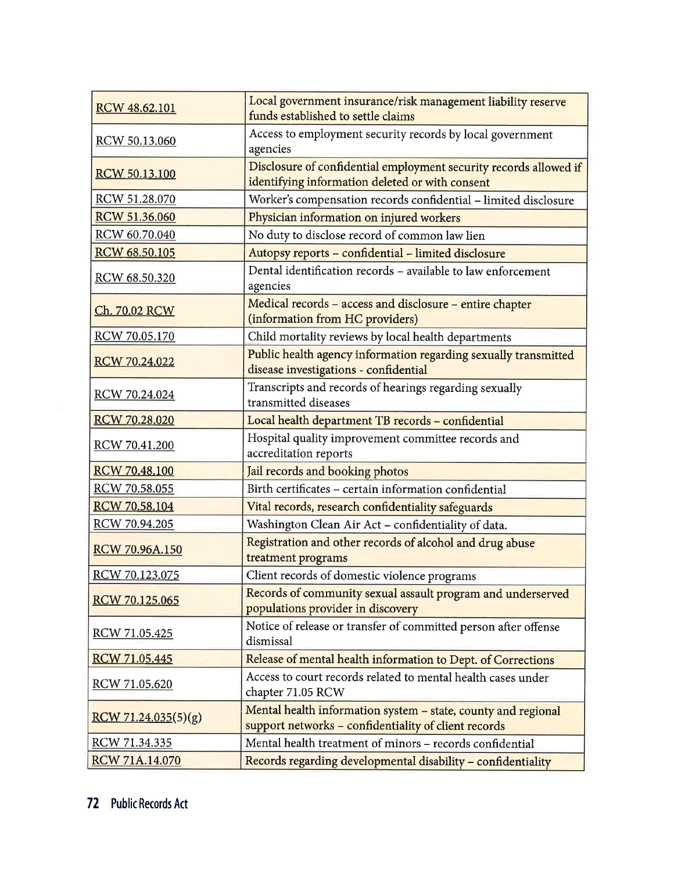| RCW 48.62.101        | Local government insurance/risk management liability reserve<br>funds established to settle claims                    |
|----------------------|-----------------------------------------------------------------------------------------------------------------------|
| RCW 50.13.060        | Access to employment security records by local government<br>agencies                                                 |
| RCW 50.13.100        | Disclosure of confidential employment security records allowed if<br>identifying information deleted or with consent  |
| RCW 51.28.070        | Worker's compensation records confidential - limited disclosure                                                       |
| RCW 51.36.060        | Physician information on injured workers                                                                              |
| RCW 60.70.040        | No duty to disclose record of common law lien                                                                         |
| RCW 68.50.105        | Autopsy reports - confidential - limited disclosure                                                                   |
| RCW 68.50.320        | Dental identification records - available to law enforcement<br>agencies                                              |
| Ch. 70.02 RCW        | Medical records - access and disclosure - entire chapter<br>(information from HC providers)                           |
| RCW 70.05.170        | Child mortality reviews by local health departments                                                                   |
| RCW 70.24.022        | Public health agency information regarding sexually transmitted<br>disease investigations - confidential              |
| RCW 70.24.024        | Transcripts and records of hearings regarding sexually<br>transmitted diseases                                        |
| RCW 70.28,020        | Local health department TB records - confidential                                                                     |
| RCW 70.41.200        | Hospital quality improvement committee records and<br>accreditation reports                                           |
| <b>RCW 70.48.100</b> | Jail records and booking photos                                                                                       |
| RCW 70.58.055        | Birth certificates - certain information confidential                                                                 |
| RCW 70.58.104        | Vital records, research confidentiality safeguards                                                                    |
| RCW 70.94.205        | Washington Clean Air Act - confidentiality of data.                                                                   |
| RCW 70.96A.150       | Registration and other records of alcohol and drug abuse<br>treatment programs                                        |
| RCW 70.123.075       | Client records of domestic violence programs                                                                          |
| RCW 70.125.065       | Records of community sexual assault program and underserved<br>populations provider in discovery                      |
| RCW 71.05.425        | Notice of release or transfer of committed person after offense<br>dismissal                                          |
| RCW 71.05.445        | Release of mental health information to Dept. of Corrections                                                          |
| RCW 71.05.620        | Access to court records related to mental health cases under<br>chapter 71.05 RCW                                     |
| RCW 71.24.035(5)(g)  | Mental health information system - state, county and regional<br>support networks - confidentiality of client records |
| RCW 71.34.335        | Mental health treatment of minors - records confidential                                                              |
| RCW 71A.14.070       | Records regarding developmental disability - confidentiality                                                          |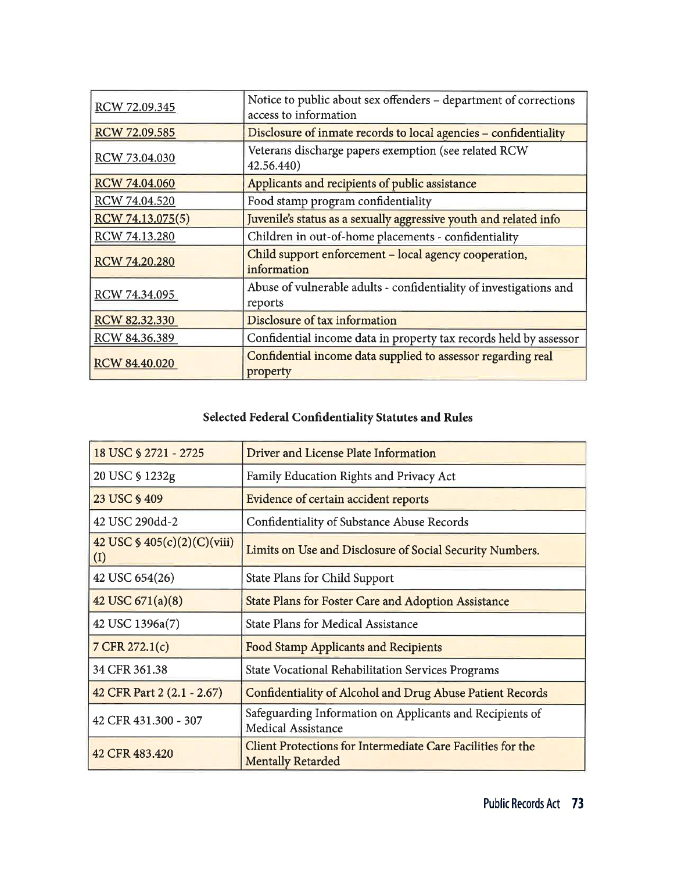| RCW 72.09.345        | Notice to public about sex offenders - department of corrections<br>access to information |
|----------------------|-------------------------------------------------------------------------------------------|
| RCW 72.09.585        | Disclosure of inmate records to local agencies - confidentiality                          |
| RCW 73.04.030        | Veterans discharge papers exemption (see related RCW<br>42.56.440)                        |
| RCW 74.04.060        | Applicants and recipients of public assistance                                            |
| RCW 74.04.520        | Food stamp program confidentiality                                                        |
| RCW 74.13.075(5)     | Juvenile's status as a sexually aggressive youth and related info                         |
| RCW 74.13.280        | Children in out-of-home placements - confidentiality                                      |
| RCW 74,20.280        | Child support enforcement - local agency cooperation,<br>information                      |
| RCW 74.34.095        | Abuse of vulnerable adults - confidentiality of investigations and<br>reports             |
| RCW 82.32.330        | Disclosure of tax information                                                             |
| RCW 84.36.389        | Confidential income data in property tax records held by assessor                         |
| <b>RCW 84.40.020</b> | Confidential income data supplied to assessor regarding real<br>property                  |

## Selected Federal Confidentiality Statutes and Rules

| 18 USC § 2721 - 2725               | Driver and License Plate Information                                                    |
|------------------------------------|-----------------------------------------------------------------------------------------|
| 20 USC § 1232g                     | Family Education Rights and Privacy Act                                                 |
| 23 USC § 409                       | Evidence of certain accident reports                                                    |
| 42 USC 290dd-2                     | Confidentiality of Substance Abuse Records                                              |
| 42 USC § 405(c)(2)(C)(viii)<br>(I) | Limits on Use and Disclosure of Social Security Numbers.                                |
| 42 USC 654(26)                     | <b>State Plans for Child Support</b>                                                    |
| 42 USC 671(a)(8)                   | <b>State Plans for Foster Care and Adoption Assistance</b>                              |
| 42 USC 1396a(7)                    | <b>State Plans for Medical Assistance</b>                                               |
| 7 CFR 272.1(c)                     | <b>Food Stamp Applicants and Recipients</b>                                             |
| 34 CFR 361.38                      | <b>State Vocational Rehabilitation Services Programs</b>                                |
| 42 CFR Part 2 (2.1 - 2.67)         | <b>Confidentiality of Alcohol and Drug Abuse Patient Records</b>                        |
| 42 CFR 431.300 - 307               | Safeguarding Information on Applicants and Recipients of<br>Medical Assistance          |
| 42 CFR 483.420                     | Client Protections for Intermediate Care Facilities for the<br><b>Mentally Retarded</b> |